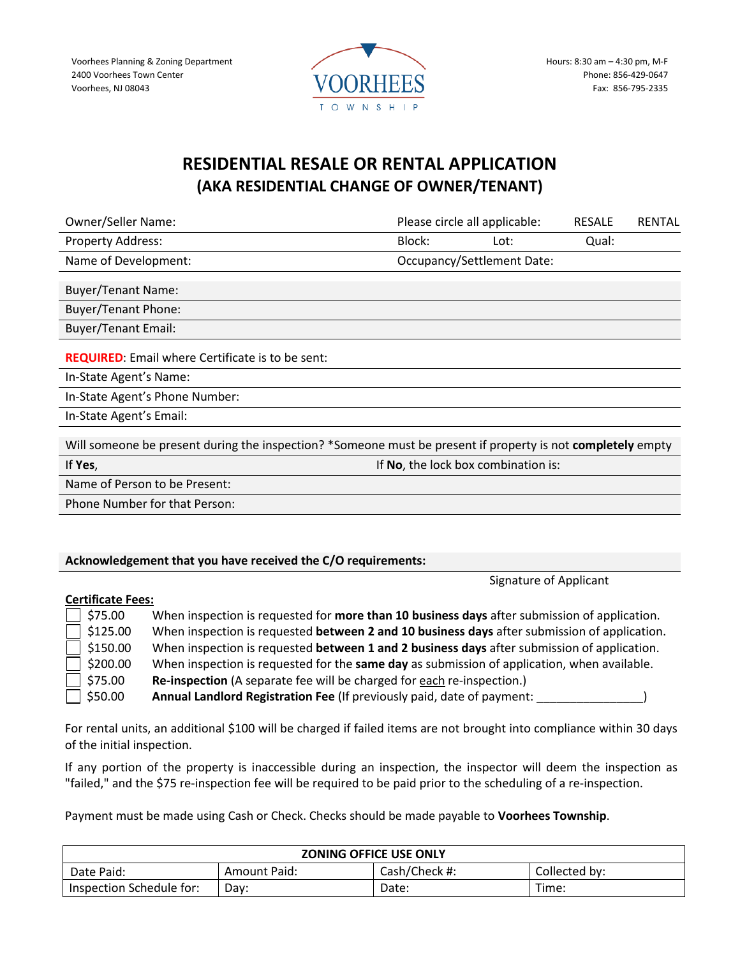Voorhees Planning & Zoning Department 2400 Voorhees Town Center Voorhees, NJ 08043



## **RESIDENTIAL RESALE OR RENTAL APPLICATION (AKA RESIDENTIAL CHANGE OF OWNER/TENANT)**

| <b>Owner/Seller Name:</b>                                                                                   |        | Please circle all applicable:       | <b>RESALE</b> | <b>RENTAL</b> |
|-------------------------------------------------------------------------------------------------------------|--------|-------------------------------------|---------------|---------------|
| <b>Property Address:</b>                                                                                    | Block: | Lot:                                | Qual:         |               |
| Name of Development:                                                                                        |        | <b>Occupancy/Settlement Date:</b>   |               |               |
| <b>Buyer/Tenant Name:</b>                                                                                   |        |                                     |               |               |
| <b>Buyer/Tenant Phone:</b>                                                                                  |        |                                     |               |               |
| <b>Buyer/Tenant Email:</b>                                                                                  |        |                                     |               |               |
| <b>REQUIRED:</b> Email where Certificate is to be sent:                                                     |        |                                     |               |               |
| In-State Agent's Name:                                                                                      |        |                                     |               |               |
| In-State Agent's Phone Number:                                                                              |        |                                     |               |               |
| In-State Agent's Email:                                                                                     |        |                                     |               |               |
| Will someone be present during the inspection? *Someone must be present if property is not completely empty |        |                                     |               |               |
| If Yes,                                                                                                     |        | If No, the lock box combination is: |               |               |
| Name of Person to be Present:                                                                               |        |                                     |               |               |
| Phone Number for that Person:                                                                               |        |                                     |               |               |
|                                                                                                             |        |                                     |               |               |

#### **Acknowledgement that you have received the C/O requirements:**

Signature of Applicant

#### **Certificate Fees:**

| $\Box$ \$75.00  | When inspection is requested for more than 10 business days after submission of application. |
|-----------------|----------------------------------------------------------------------------------------------|
| $\Box$ \$125.00 | When inspection is requested between 2 and 10 business days after submission of application. |
| $\Box$ \$150.00 | When inspection is requested between 1 and 2 business days after submission of application.  |
| $\Box$ \$200.00 | When inspection is requested for the same day as submission of application, when available.  |
| $\Box$ \$75.00  | Re-inspection (A separate fee will be charged for each re-inspection.)                       |
| $\Box$ \$50.00  | Annual Landlord Registration Fee (If previously paid, date of payment:                       |

For rental units, an additional \$100 will be charged if failed items are not brought into compliance within 30 days of the initial inspection.

If any portion of the property is inaccessible during an inspection, the inspector will deem the inspection as "failed," and the \$75 re-inspection fee will be required to be paid prior to the scheduling of a re-inspection.

Payment must be made using Cash or Check. Checks should be made payable to **Voorhees Township**.

| <b>ZONING OFFICE USE ONLY</b> |              |               |               |
|-------------------------------|--------------|---------------|---------------|
| Date Paid:                    | Amount Paid: | Cash/Check #: | Collected by: |
| Inspection Schedule for:      | Dav:         | Date:         | Time:         |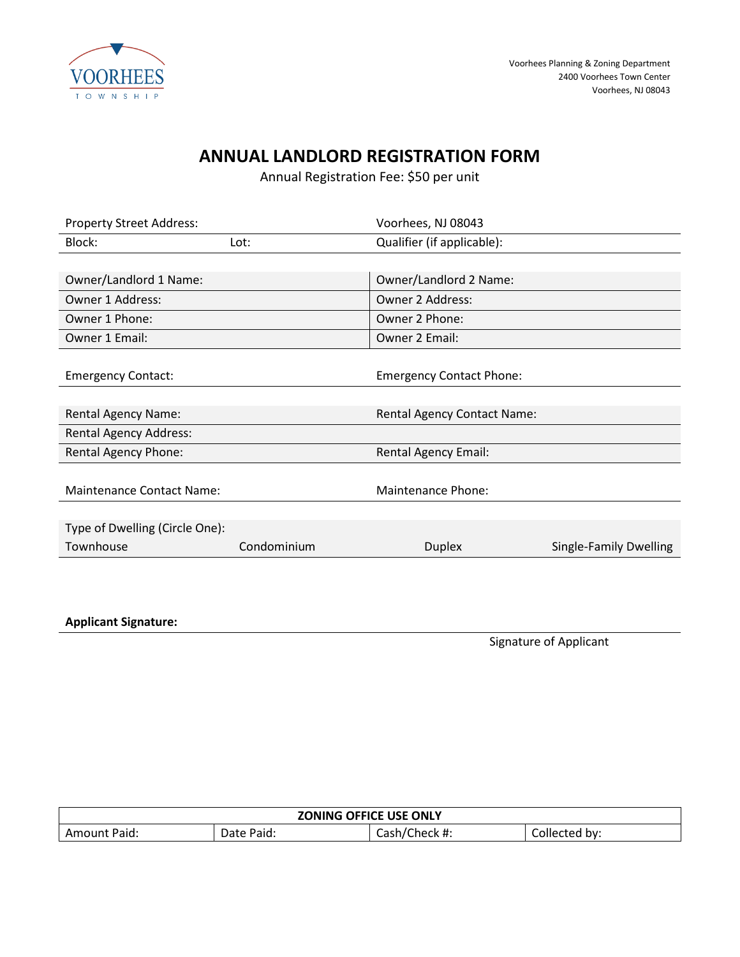

# **ANNUAL LANDLORD REGISTRATION FORM**

Annual Registration Fee: \$50 per unit

| <b>Property Street Address:</b>  |             | Voorhees, NJ 08043                 |                               |
|----------------------------------|-------------|------------------------------------|-------------------------------|
| Block:                           | Lot:        | Qualifier (if applicable):         |                               |
|                                  |             |                                    |                               |
| Owner/Landlord 1 Name:           |             | Owner/Landlord 2 Name:             |                               |
| Owner 1 Address:                 |             | Owner 2 Address:                   |                               |
| Owner 1 Phone:                   |             | Owner 2 Phone:                     |                               |
| Owner 1 Email:                   |             | Owner 2 Email:                     |                               |
|                                  |             |                                    |                               |
| <b>Emergency Contact:</b>        |             | <b>Emergency Contact Phone:</b>    |                               |
|                                  |             |                                    |                               |
| <b>Rental Agency Name:</b>       |             | <b>Rental Agency Contact Name:</b> |                               |
| <b>Rental Agency Address:</b>    |             |                                    |                               |
| <b>Rental Agency Phone:</b>      |             | <b>Rental Agency Email:</b>        |                               |
|                                  |             |                                    |                               |
| <b>Maintenance Contact Name:</b> |             | Maintenance Phone:                 |                               |
|                                  |             |                                    |                               |
| Type of Dwelling (Circle One):   |             |                                    |                               |
| Townhouse                        | Condominium | <b>Duplex</b>                      | <b>Single-Family Dwelling</b> |
|                                  |             |                                    |                               |
|                                  |             |                                    |                               |

**Applicant Signature:** 

Signature of Applicant

| <b>ZONING OFFICE USE ONLY</b> |            |               |               |
|-------------------------------|------------|---------------|---------------|
| <b>Amount Paid:</b>           | Date Paid: | Cash/Check #: | Collected by: |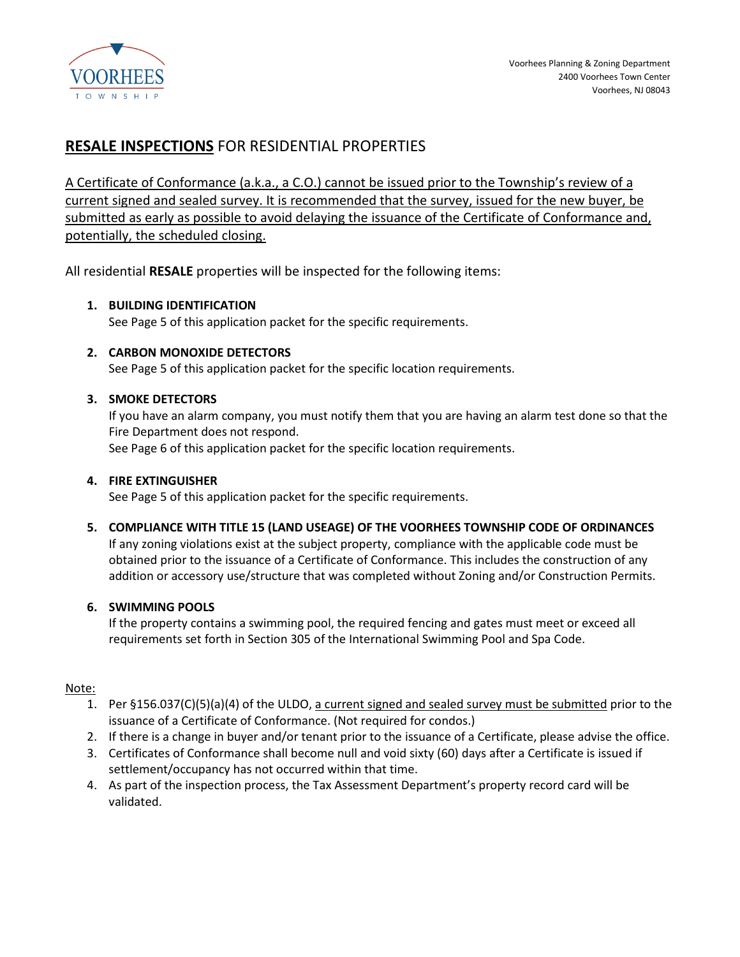

## **RESALE INSPECTIONS** FOR RESIDENTIAL PROPERTIES

A Certificate of Conformance (a.k.a., a C.O.) cannot be issued prior to the Township's review of a current signed and sealed survey. It is recommended that the survey, issued for the new buyer, be submitted as early as possible to avoid delaying the issuance of the Certificate of Conformance and, potentially, the scheduled closing.

All residential **RESALE** properties will be inspected for the following items:

#### **1. BUILDING IDENTIFICATION**

See Page 5 of this application packet for the specific requirements.

**2. CARBON MONOXIDE DETECTORS**

See Page 5 of this application packet for the specific location requirements.

#### **3. SMOKE DETECTORS**

If you have an alarm company, you must notify them that you are having an alarm test done so that the Fire Department does not respond. See Page 6 of this application packet for the specific location requirements.

#### **4. FIRE EXTINGUISHER**

See Page 5 of this application packet for the specific requirements.

**5. COMPLIANCE WITH TITLE 15 (LAND USEAGE) OF THE VOORHEES TOWNSHIP CODE OF ORDINANCES**

If any zoning violations exist at the subject property, compliance with the applicable code must be obtained prior to the issuance of a Certificate of Conformance. This includes the construction of any addition or accessory use/structure that was completed without Zoning and/or Construction Permits.

#### **6. SWIMMING POOLS**

If the property contains a swimming pool, the required fencing and gates must meet or exceed all requirements set forth in Section 305 of the International Swimming Pool and Spa Code.

#### Note:

- 1. Per §156.037(C)(5)(a)(4) of the ULDO, a current signed and sealed survey must be submitted prior to the issuance of a Certificate of Conformance. (Not required for condos.)
- 2. If there is a change in buyer and/or tenant prior to the issuance of a Certificate, please advise the office.
- 3. Certificates of Conformance shall become null and void sixty (60) days after a Certificate is issued if settlement/occupancy has not occurred within that time.
- 4. As part of the inspection process, the Tax Assessment Department's property record card will be validated.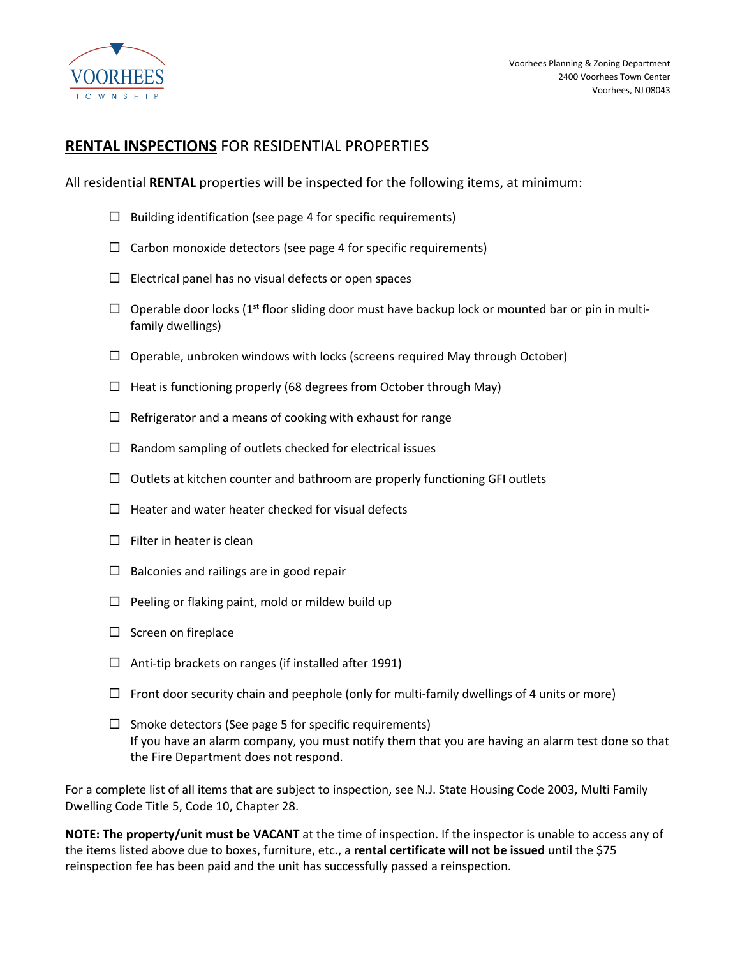

### **RENTAL INSPECTIONS** FOR RESIDENTIAL PROPERTIES

All residential **RENTAL** properties will be inspected for the following items, at minimum:

- $\Box$  Building identification (see page 4 for specific requirements)
- $\Box$  Carbon monoxide detectors (see page 4 for specific requirements)
- $\Box$  Electrical panel has no visual defects or open spaces
- $\Box$  Operable door locks (1<sup>st</sup> floor sliding door must have backup lock or mounted bar or pin in multifamily dwellings)
- $\Box$  Operable, unbroken windows with locks (screens required May through October)
- $\Box$  Heat is functioning properly (68 degrees from October through May)
- $\Box$  Refrigerator and a means of cooking with exhaust for range
- $\Box$  Random sampling of outlets checked for electrical issues
- $\Box$  Outlets at kitchen counter and bathroom are properly functioning GFI outlets
- $\Box$  Heater and water heater checked for visual defects
- $\Box$  Filter in heater is clean
- $\Box$  Balconies and railings are in good repair
- $\Box$  Peeling or flaking paint, mold or mildew build up
- $\square$  Screen on fireplace
- $\Box$  Anti-tip brackets on ranges (if installed after 1991)
- $\Box$  Front door security chain and peephole (only for multi-family dwellings of 4 units or more)
- $\Box$  Smoke detectors (See page 5 for specific requirements) If you have an alarm company, you must notify them that you are having an alarm test done so that the Fire Department does not respond.

For a complete list of all items that are subject to inspection, see N.J. State Housing Code 2003, Multi Family Dwelling Code Title 5, Code 10, Chapter 28.

**NOTE: The property/unit must be VACANT** at the time of inspection. If the inspector is unable to access any of the items listed above due to boxes, furniture, etc., a **rental certificate will not be issued** until the \$75 reinspection fee has been paid and the unit has successfully passed a reinspection.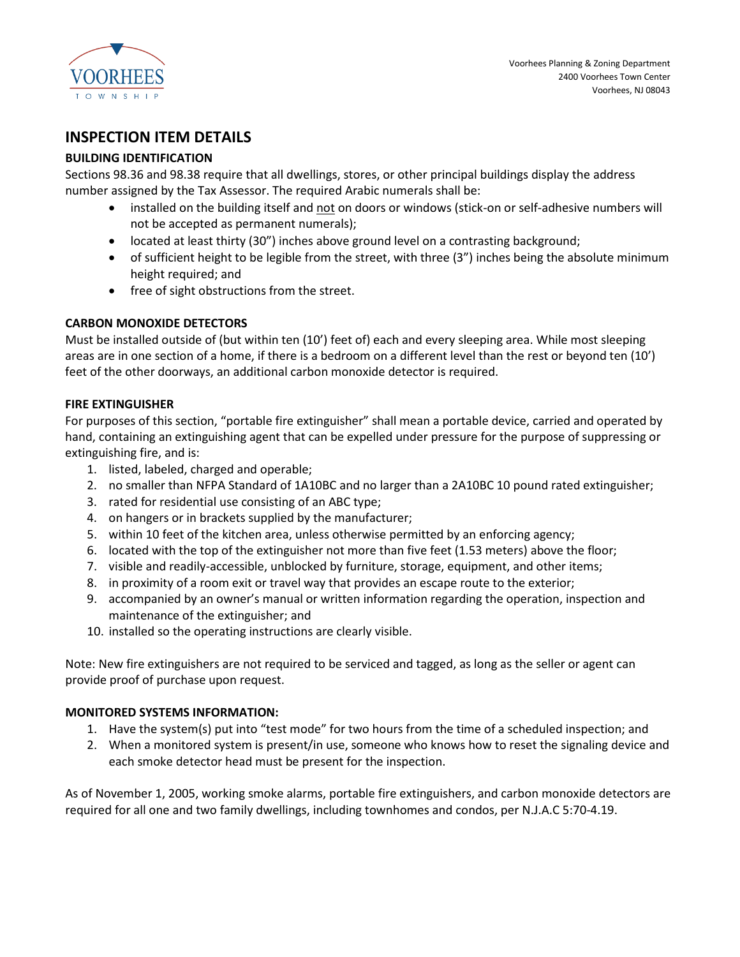

## **INSPECTION ITEM DETAILS**

#### **BUILDING IDENTIFICATION**

Sections 98.36 and 98.38 require that all dwellings, stores, or other principal buildings display the address number assigned by the Tax Assessor. The required Arabic numerals shall be:

- installed on the building itself and not on doors or windows (stick-on or self-adhesive numbers will not be accepted as permanent numerals);
- located at least thirty (30") inches above ground level on a contrasting background;
- of sufficient height to be legible from the street, with three (3") inches being the absolute minimum height required; and
- free of sight obstructions from the street.

#### **CARBON MONOXIDE DETECTORS**

Must be installed outside of (but within ten (10') feet of) each and every sleeping area. While most sleeping areas are in one section of a home, if there is a bedroom on a different level than the rest or beyond ten (10') feet of the other doorways, an additional carbon monoxide detector is required.

#### **FIRE EXTINGUISHER**

For purposes of this section, "portable fire extinguisher" shall mean a portable device, carried and operated by hand, containing an extinguishing agent that can be expelled under pressure for the purpose of suppressing or extinguishing fire, and is:

- 1. listed, labeled, charged and operable;
- 2. no smaller than NFPA Standard of 1A10BC and no larger than a 2A10BC 10 pound rated extinguisher;
- 3. rated for residential use consisting of an ABC type;
- 4. on hangers or in brackets supplied by the manufacturer;
- 5. within 10 feet of the kitchen area, unless otherwise permitted by an enforcing agency;
- 6. located with the top of the extinguisher not more than five feet (1.53 meters) above the floor;
- 7. visible and readily-accessible, unblocked by furniture, storage, equipment, and other items;
- 8. in proximity of a room exit or travel way that provides an escape route to the exterior;
- 9. accompanied by an owner's manual or written information regarding the operation, inspection and maintenance of the extinguisher; and
- 10. installed so the operating instructions are clearly visible.

Note: New fire extinguishers are not required to be serviced and tagged, as long as the seller or agent can provide proof of purchase upon request.

#### **MONITORED SYSTEMS INFORMATION:**

- 1. Have the system(s) put into "test mode" for two hours from the time of a scheduled inspection; and
- 2. When a monitored system is present/in use, someone who knows how to reset the signaling device and each smoke detector head must be present for the inspection.

As of November 1, 2005, working smoke alarms, portable fire extinguishers, and carbon monoxide detectors are required for all one and two family dwellings, including townhomes and condos, per N.J.A.C 5:70-4.19.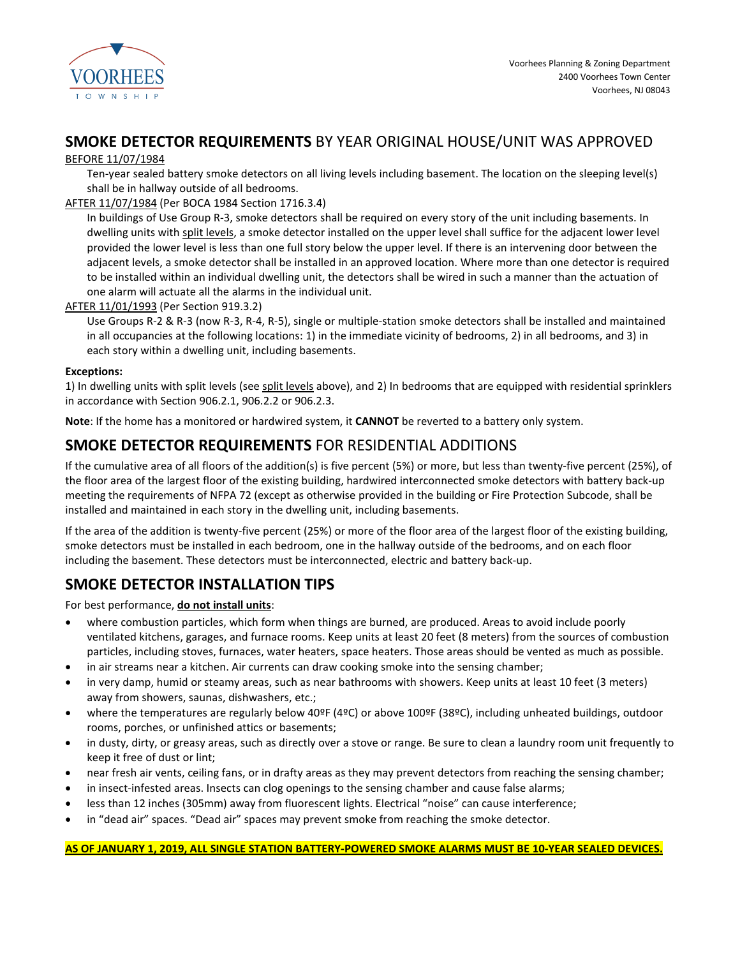

## **SMOKE DETECTOR REQUIREMENTS** BY YEAR ORIGINAL HOUSE/UNIT WAS APPROVED

#### BEFORE 11/07/1984

Ten-year sealed battery smoke detectors on all living levels including basement. The location on the sleeping level(s) shall be in hallway outside of all bedrooms.

#### AFTER 11/07/1984 (Per BOCA 1984 Section 1716.3.4)

In buildings of Use Group R-3, smoke detectors shall be required on every story of the unit including basements. In dwelling units with split levels, a smoke detector installed on the upper level shall suffice for the adjacent lower level provided the lower level is less than one full story below the upper level. If there is an intervening door between the adjacent levels, a smoke detector shall be installed in an approved location. Where more than one detector is required to be installed within an individual dwelling unit, the detectors shall be wired in such a manner than the actuation of one alarm will actuate all the alarms in the individual unit.

#### AFTER 11/01/1993 (Per Section 919.3.2)

Use Groups R-2 & R-3 (now R-3, R-4, R-5), single or multiple-station smoke detectors shall be installed and maintained in all occupancies at the following locations: 1) in the immediate vicinity of bedrooms, 2) in all bedrooms, and 3) in each story within a dwelling unit, including basements.

#### **Exceptions:**

1) In dwelling units with split levels (see split levels above), and 2) In bedrooms that are equipped with residential sprinklers in accordance with Section 906.2.1, 906.2.2 or 906.2.3.

**Note**: If the home has a monitored or hardwired system, it **CANNOT** be reverted to a battery only system.

## **SMOKE DETECTOR REQUIREMENTS** FOR RESIDENTIAL ADDITIONS

If the cumulative area of all floors of the addition(s) is five percent (5%) or more, but less than twenty-five percent (25%), of the floor area of the largest floor of the existing building, hardwired interconnected smoke detectors with battery back-up meeting the requirements of NFPA 72 (except as otherwise provided in the building or Fire Protection Subcode, shall be installed and maintained in each story in the dwelling unit, including basements.

If the area of the addition is twenty-five percent (25%) or more of the floor area of the largest floor of the existing building, smoke detectors must be installed in each bedroom, one in the hallway outside of the bedrooms, and on each floor including the basement. These detectors must be interconnected, electric and battery back-up.

## **SMOKE DETECTOR INSTALLATION TIPS**

For best performance, **do not install units**:

- where combustion particles, which form when things are burned, are produced. Areas to avoid include poorly ventilated kitchens, garages, and furnace rooms. Keep units at least 20 feet (8 meters) from the sources of combustion particles, including stoves, furnaces, water heaters, space heaters. Those areas should be vented as much as possible.
- in air streams near a kitchen. Air currents can draw cooking smoke into the sensing chamber;
- in very damp, humid or steamy areas, such as near bathrooms with showers. Keep units at least 10 feet (3 meters) away from showers, saunas, dishwashers, etc.;
- where the temperatures are regularly below 40ºF (4ºC) or above 100ºF (38ºC), including unheated buildings, outdoor rooms, porches, or unfinished attics or basements;
- in dusty, dirty, or greasy areas, such as directly over a stove or range. Be sure to clean a laundry room unit frequently to keep it free of dust or lint;
- near fresh air vents, ceiling fans, or in drafty areas as they may prevent detectors from reaching the sensing chamber;
- in insect-infested areas. Insects can clog openings to the sensing chamber and cause false alarms;
- less than 12 inches (305mm) away from fluorescent lights. Electrical "noise" can cause interference;
- in "dead air" spaces. "Dead air" spaces may prevent smoke from reaching the smoke detector.

**AS OF JANUARY 1, 2019, ALL SINGLE STATION BATTERY-POWERED SMOKE ALARMS MUST BE 10-YEAR SEALED DEVICES.**